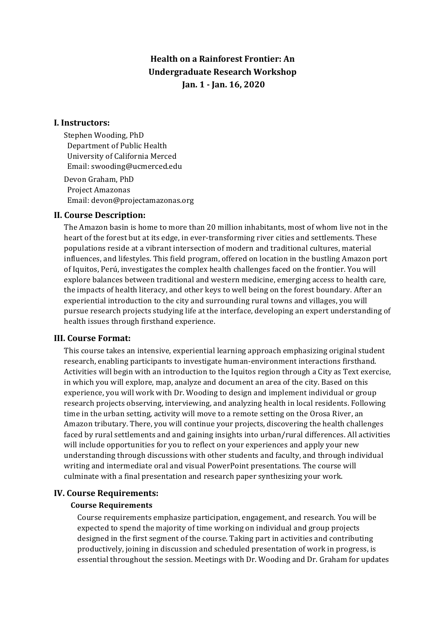# **Health on a Rainforest Frontier: An Undergraduate Research Workshop Jan. 1 - Jan. 16, 2020**

## **I. Instructors:**

Stephen Wooding, PhD Department of Public Health University of California Merced Email: swooding@ucmerced.edu

Devon Graham, PhD Project Amazonas Email: devon@projectamazonas.org

## **II. Course Description:**

The Amazon basin is home to more than 20 million inhabitants, most of whom live not in the heart of the forest but at its edge, in ever-transforming river cities and settlements. These populations reside at a vibrant intersection of modern and traditional cultures, material influences, and lifestyles. This field program, offered on location in the bustling Amazon port of Iquitos, Perú, investigates the complex health challenges faced on the frontier. You will explore balances between traditional and western medicine, emerging access to health care, the impacts of health literacy, and other keys to well being on the forest boundary. After an experiential introduction to the city and surrounding rural towns and villages, you will pursue research projects studying life at the interface, developing an expert understanding of health issues through firsthand experience.

#### **III. Course Format:**

This course takes an intensive, experiential learning approach emphasizing original student research, enabling participants to investigate human-environment interactions firsthand. Activities will begin with an introduction to the Iquitos region through a City as Text exercise, in which you will explore, map, analyze and document an area of the city. Based on this experience, you will work with Dr. Wooding to design and implement individual or group research projects observing, interviewing, and analyzing health in local residents. Following time in the urban setting, activity will move to a remote setting on the Orosa River, an Amazon tributary. There, you will continue your projects, discovering the health challenges faced by rural settlements and and gaining insights into urban/rural differences. All activities will include opportunities for you to reflect on your experiences and apply your new understanding through discussions with other students and faculty, and through individual writing and intermediate oral and visual PowerPoint presentations. The course will culminate with a final presentation and research paper synthesizing your work.

#### **IV. Course Requirements:**

#### **Course Requirements**

Course requirements emphasize participation, engagement, and research. You will be expected to spend the majority of time working on individual and group projects designed in the first segment of the course. Taking part in activities and contributing productively, joining in discussion and scheduled presentation of work in progress, is essential throughout the session. Meetings with Dr. Wooding and Dr. Graham for updates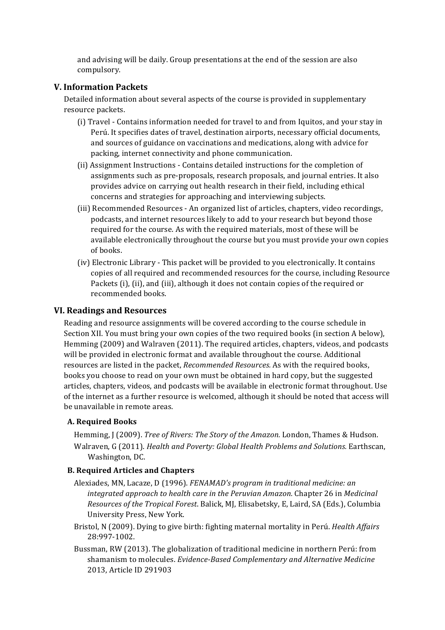and advising will be daily. Group presentations at the end of the session are also compulsory.

# **V. Information Packets**

Detailed information about several aspects of the course is provided in supplementary resource packets.

- (i) Travel Contains information needed for travel to and from Iquitos, and your stay in Perú. It specifies dates of travel, destination airports, necessary official documents, and sources of guidance on vaccinations and medications, along with advice for packing, internet connectivity and phone communication.
- (ii) Assignment Instructions Contains detailed instructions for the completion of assignments such as pre-proposals, research proposals, and journal entries. It also provides advice on carrying out health research in their field, including ethical concerns and strategies for approaching and interviewing subjects.
- (iii) Recommended Resources An organized list of articles, chapters, video recordings, podcasts, and internet resources likely to add to your research but beyond those required for the course. As with the required materials, most of these will be available electronically throughout the course but you must provide your own copies of books.
- (iv) Electronic Library This packet will be provided to you electronically. It contains copies of all required and recommended resources for the course, including Resource Packets (i), (ii), and (iii), although it does not contain copies of the required or recommended books.

# **VI. Readings and Resources**

Reading and resource assignments will be covered according to the course schedule in Section XII. You must bring your own copies of the two required books (in section A below), Hemming  $(2009)$  and Walraven  $(2011)$ . The required articles, chapters, videos, and podcasts will be provided in electronic format and available throughout the course. Additional resources are listed in the packet, *Recommended Resources*. As with the required books, books you choose to read on your own must be obtained in hard copy, but the suggested articles, chapters, videos, and podcasts will be available in electronic format throughout. Use of the internet as a further resource is welcomed, although it should be noted that access will be unavailable in remote areas.

## **A. Required Books**

Hemming, J (2009). *Tree of Rivers: The Story of the Amazon*. London, Thames & Hudson. Walraven, G (2011). *Health and Poverty: Global Health Problems and Solutions.* Earthscan, Washington, DC.

## **B. Required Articles and Chapters**

- Alexiades, MN, Lacaze, D (1996). *FENAMAD's program in traditional medicine: an integrated approach to health care in the Peruvian Amazon.* Chapter 26 in *Medicinal Resources of the Tropical Forest*. Balick, MJ, Elisabetsky, E, Laird, SA (Eds.), Columbia University Press, New York.
- Bristol, N (2009). Dying to give birth: fighting maternal mortality in Perú. *Health Affairs* 28:997-1002.
- Bussman, RW (2013). The globalization of traditional medicine in northern Perú: from shamanism to molecules. *Evidence-Based Complementary and Alternative Medicine* 2013, Article ID 291903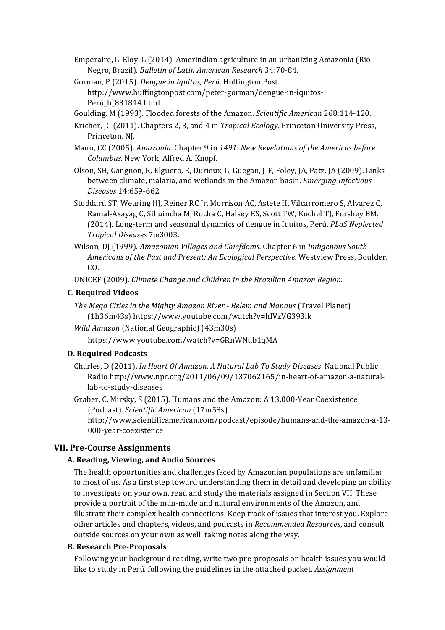- Emperaire, L, Eloy, L (2014). Amerindian agriculture in an urbanizing Amazonia (Rio Negro, Brazil). *Bulletin of Latin American Research* 34:70-84.
- Gorman, P (2015). *Dengue in Iquitos, Perú.* Huffington Post. http://www.huffingtonpost.com/peter-gorman/dengue-in-iquitos-Perú\_b\_831814.html
- Goulding, M (1993). Flooded forests of the Amazon. *Scientific American* 268:114-120.
- Kricher, JC (2011). Chapters 2, 3, and 4 in *Tropical Ecology*. Princeton University Press, Princeton, NJ.
- Mann, CC (2005). *Amazonia.* Chapter 9 in 1491: New Revelations of the Americas before *Columbus.* New York, Alfred A. Knopf.
- Olson, SH, Gangnon, R, Elguero, E, Durieux, L, Guegan, J-F, Foley, JA, Patz, JA (2009). Links between climate, malaria, and wetlands in the Amazon basin. *Emerging Infectious Diseases* 14:659-662.
- Stoddard ST, Wearing HJ, Reiner RC Jr, Morrison AC, Astete H, Vilcarromero S, Alvarez C, Ramal-Asayag C, Sihuincha M, Rocha C, Halsey ES, Scott TW, Kochel TJ, Forshey BM. (2014). Long-term and seasonal dynamics of dengue in Iquitos, Perú. *PLoS Neglected Tropical Diseases* 7:e3003.
- Wilson, DJ (1999). Amazonian Villages and Chiefdoms. Chapter 6 in *Indigenous South* Americans of the Past and Present: An Ecological Perspective. Westview Press, Boulder, CO.
- UNICEF (2009). *Climate Change and Children in the Brazilian Amazon Region.*

#### **C. Required Videos**

- *The Mega Cities in the Mighty Amazon River Belem and Manaus* (Travel Planet) (1h36m43s) https://www.youtube.com/watch?v=hIVzVG393ik
- *Wild Amazon* (National Geographic) (43m30s)
	- https://www.youtube.com/watch?v=GRnWNub1qMA

## **D. Required Podcasts**

Charles, D (2011). *In Heart Of Amazon, A Natural Lab To Study Diseases*. National Public Radio http://www.npr.org/2011/06/09/137062165/in-heart-of-amazon-a-naturallab-to-study-diseases

Graber, C, Mirsky, S (2015). Humans and the Amazon: A 13,000-Year Coexistence (Podcast). *Scientific American* (17m58s) http://www.scientificamerican.com/podcast/episode/humans-and-the-amazon-a-13- 000-year-coexistence

## **VII. Pre-Course Assignments**

#### **A. Reading, Viewing, and Audio Sources**

The health opportunities and challenges faced by Amazonian populations are unfamiliar to most of us. As a first step toward understanding them in detail and developing an ability to investigate on your own, read and study the materials assigned in Section VII. These provide a portrait of the man-made and natural environments of the Amazon, and illustrate their complex health connections. Keep track of issues that interest you. Explore other articles and chapters, videos, and podcasts in *Recommended Resources*, and consult outside sources on your own as well, taking notes along the way.

#### **B. Research Pre-Proposals**

Following your background reading, write two pre-proposals on health issues you would like to study in Perú, following the guidelines in the attached packet, *Assignment*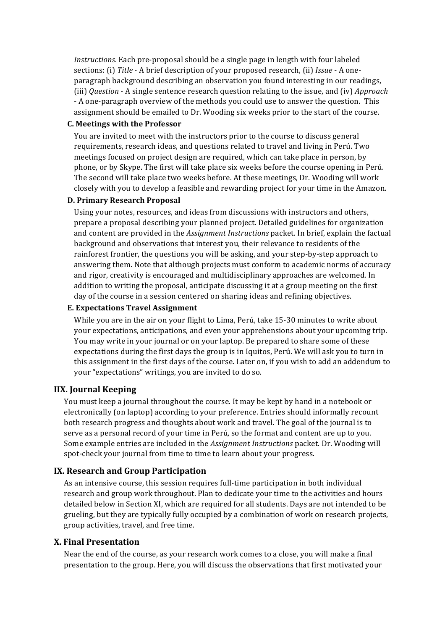*Instructions*. Each pre-proposal should be a single page in length with four labeled sections: (i) *Title* - A brief description of your proposed research, (ii) *Issue* - A oneparagraph background describing an observation you found interesting in our readings, (iii) *Question* - A single sentence research question relating to the issue, and (iv) *Approach* - A one-paragraph overview of the methods you could use to answer the question. This assignment should be emailed to Dr. Wooding six weeks prior to the start of the course.

#### **C. Meetings with the Professor**

You are invited to meet with the instructors prior to the course to discuss general requirements, research ideas, and questions related to travel and living in Perú. Two meetings focused on project design are required, which can take place in person, by phone, or by Skype. The first will take place six weeks before the course opening in Perú. The second will take place two weeks before. At these meetings, Dr. Wooding will work closely with you to develop a feasible and rewarding project for your time in the Amazon.

## **D. Primary Research Proposal**

Using your notes, resources, and ideas from discussions with instructors and others, prepare a proposal describing your planned project. Detailed guidelines for organization and content are provided in the *Assignment Instructions* packet. In brief, explain the factual background and observations that interest you, their relevance to residents of the rainforest frontier, the questions you will be asking, and your step-by-step approach to answering them. Note that although projects must conform to academic norms of accuracy and rigor, creativity is encouraged and multidisciplinary approaches are welcomed. In addition to writing the proposal, anticipate discussing it at a group meeting on the first day of the course in a session centered on sharing ideas and refining objectives.

## **E. Expectations Travel Assignment**

While you are in the air on your flight to Lima, Perú, take 15-30 minutes to write about your expectations, anticipations, and even your apprehensions about your upcoming trip. You may write in your journal or on your laptop. Be prepared to share some of these expectations during the first days the group is in Iquitos, Perú. We will ask you to turn in this assignment in the first days of the course. Later on, if you wish to add an addendum to your "expectations" writings, you are invited to do so.

## **IIX. Journal Keeping**

You must keep a journal throughout the course. It may be kept by hand in a notebook or electronically (on laptop) according to your preference. Entries should informally recount both research progress and thoughts about work and travel. The goal of the journal is to serve as a personal record of your time in Perú, so the format and content are up to you. Some example entries are included in the *Assignment Instructions* packet. Dr. Wooding will spot-check your journal from time to time to learn about your progress.

## **IX. Research and Group Participation**

As an intensive course, this session requires full-time participation in both individual research and group work throughout. Plan to dedicate your time to the activities and hours detailed below in Section XI, which are required for all students. Days are not intended to be grueling, but they are typically fully occupied by a combination of work on research projects, group activities, travel, and free time.

## **X. Final Presentation**

Near the end of the course, as your research work comes to a close, you will make a final presentation to the group. Here, you will discuss the observations that first motivated your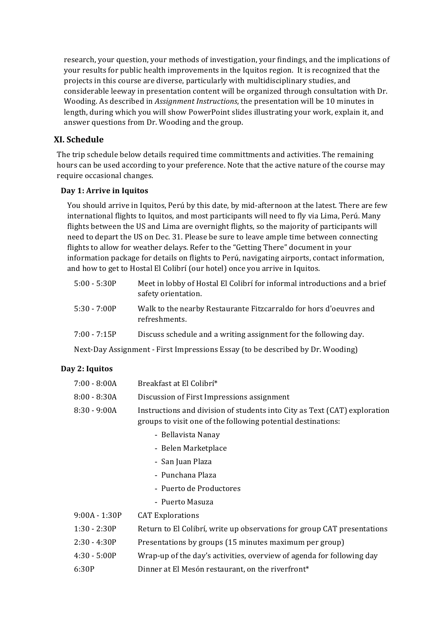research, your question, your methods of investigation, your findings, and the implications of your results for public health improvements in the Iquitos region. It is recognized that the projects in this course are diverse, particularly with multidisciplinary studies, and considerable leeway in presentation content will be organized through consultation with Dr. Wooding. As described in *Assignment Instructions*, the presentation will be 10 minutes in length, during which you will show PowerPoint slides illustrating your work, explain it, and answer questions from Dr. Wooding and the group.

# **XI. Schedule**

The trip schedule below details required time committments and activities. The remaining hours can be used according to your preference. Note that the active nature of the course may require occasional changes.

## **Day 1: Arrive in Iquitos**

You should arrive in Iquitos, Perú by this date, by mid-afternoon at the latest. There are few international flights to Iquitos, and most participants will need to fly via Lima, Perú. Many flights between the US and Lima are overnight flights, so the majority of participants will need to depart the US on Dec. 31. Please be sure to leave ample time between connecting flights to allow for weather delays. Refer to the "Getting There" document in your information package for details on flights to Perú, navigating airports, contact information, and how to get to Hostal El Colibrí (our hotel) once you arrive in Iquitos.

| $5:00 - 5:30P$ | Meet in lobby of Hostal El Colibrí for informal introductions and a brief<br>safety orientation. |
|----------------|--------------------------------------------------------------------------------------------------|
| $5:30 - 7:00P$ | Walk to the nearby Restaurante Fitzcarraldo for hors d'oeuvres and<br>refreshments.              |
| $7:00 - 7:15P$ | Discuss schedule and a writing assignment for the following day.                                 |
|                |                                                                                                  |

Next-Day Assignment - First Impressions Essay (to be described by Dr. Wooding)

## **Day 2: Iquitos**

| 7:00 - 8:00A   | Breakfast at El Colibrí*                                                  |
|----------------|---------------------------------------------------------------------------|
| $8:00 - 8:30A$ | Discussion of First Impressions assignment                                |
| $8:30 - 9:00A$ | Instructions and division of students into City as Text (CAT) exploration |
|                | groups to visit one of the following potential destinations:              |

- Bellavista Nanay
- Belen Marketplace
- San Iuan Plaza
- Punchana Plaza
- Puerto de Productores
- Puerto Masuza

| $9:00A - 1:30P$ | <b>CAT Explorations</b>                                                 |
|-----------------|-------------------------------------------------------------------------|
| $1:30 - 2:30P$  | Return to El Colibrí, write up observations for group CAT presentations |
| $2:30 - 4:30P$  | Presentations by groups (15 minutes maximum per group)                  |
| $4:30 - 5:00P$  | Wrap-up of the day's activities, overview of agenda for following day   |
| 6:30P           | Dinner at El Mesón restaurant, on the riverfront <sup>*</sup>           |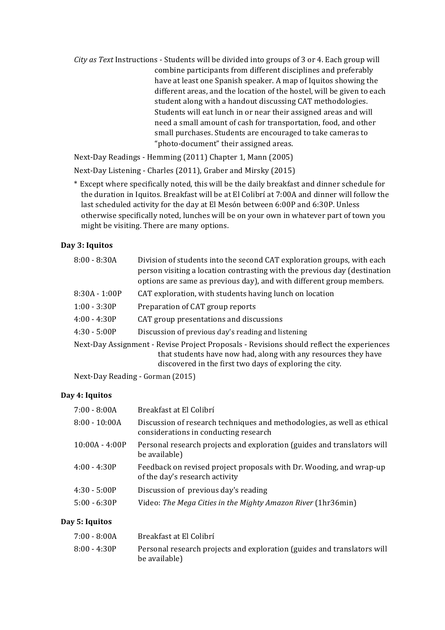*City* as Text Instructions - Students will be divided into groups of 3 or 4. Each group will combine participants from different disciplines and preferably have at least one Spanish speaker. A map of Iquitos showing the different areas, and the location of the hostel, will be given to each student along with a handout discussing CAT methodologies. Students will eat lunch in or near their assigned areas and will need a small amount of cash for transportation, food, and other small purchases. Students are encouraged to take cameras to "photo-document" their assigned areas.

Next-Day Readings - Hemming (2011) Chapter 1, Mann (2005)

Next-Day Listening - Charles (2011), Graber and Mirsky (2015)

\* Except where specifically noted, this will be the daily breakfast and dinner schedule for the duration in Iquitos. Breakfast will be at El Colibrí at 7:00A and dinner will follow the last scheduled activity for the day at El Mesón between 6:00P and 6:30P. Unless otherwise specifically noted, lunches will be on your own in whatever part of town you might be visiting. There are many options.

## **Day 3: Iquitos**

| $8:00 - 8:30A$  | Division of students into the second CAT exploration groups, with each<br>person visiting a location contrasting with the previous day (destination<br>options are same as previous day), and with different group members. |
|-----------------|-----------------------------------------------------------------------------------------------------------------------------------------------------------------------------------------------------------------------------|
| $8:30A - 1:00P$ | CAT exploration, with students having lunch on location                                                                                                                                                                     |
| $1:00 - 3:30P$  | Preparation of CAT group reports                                                                                                                                                                                            |
| $4:00 - 4:30P$  | CAT group presentations and discussions                                                                                                                                                                                     |
| $4:30 - 5:00P$  | Discussion of previous day's reading and listening                                                                                                                                                                          |
|                 | Next-Day Assignment - Revise Project Proposals - Revisions should reflect the experiences<br>that students have now had, along with any resources they have<br>discovered in the first two days of exploring the city.      |

Next-Day Reading - Gorman (2015)

## **Day 4: Iquitos**

| $7:00 - 8:00A$   | Breakfast at El Colibrí                                                                                          |
|------------------|------------------------------------------------------------------------------------------------------------------|
| $8:00 - 10:00A$  | Discussion of research techniques and methodologies, as well as ethical<br>considerations in conducting research |
| $10:00A - 4:00P$ | Personal research projects and exploration (guides and translators will<br>be available)                         |
| $4:00 - 4:30P$   | Feedback on revised project proposals with Dr. Wooding, and wrap-up<br>of the day's research activity            |
| $4:30 - 5:00P$   | Discussion of previous day's reading                                                                             |
| $5:00 - 6:30P$   | Video: The Mega Cities in the Mighty Amazon River (1hr36min)                                                     |
|                  |                                                                                                                  |

## **Day 5: Iquitos**

| 7:00 - 8:00A | Breakfast at El Colibrí                                                                  |
|--------------|------------------------------------------------------------------------------------------|
| 8:00 - 4:30P | Personal research projects and exploration (guides and translators will<br>be available) |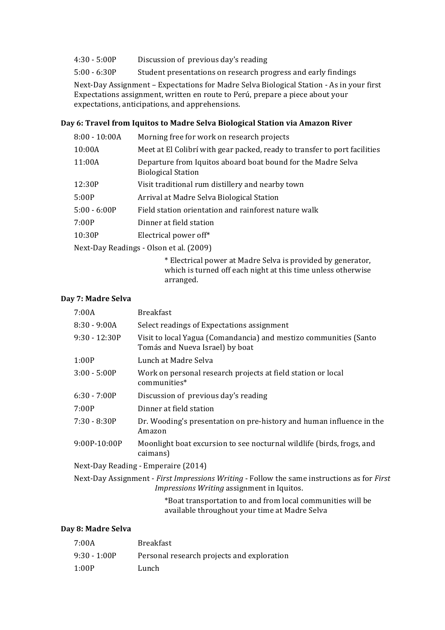- 4:30 5:00P Discussion of previous day's reading
- 5:00 6:30P Student presentations on research progress and early findings

Next-Day Assignment - Expectations for Madre Selva Biological Station - As in your first Expectations assignment, written en route to Perú, prepare a piece about your expectations, anticipations, and apprehensions.

#### **Day 6: Travel from Iquitos to Madre Selva Biological Station via Amazon River**

| $8:00 - 10:00A$                         | Morning free for work on research projects                                                |
|-----------------------------------------|-------------------------------------------------------------------------------------------|
| 10:00A                                  | Meet at El Colibrí with gear packed, ready to transfer to port facilities                 |
| 11:00A                                  | Departure from Iquitos aboard boat bound for the Madre Selva<br><b>Biological Station</b> |
| 12:30P                                  | Visit traditional rum distillery and nearby town                                          |
| 5:00P                                   | Arrival at Madre Selva Biological Station                                                 |
| $5:00 - 6:00P$                          | Field station orientation and rainforest nature walk                                      |
| 7:00P                                   | Dinner at field station                                                                   |
| 10:30P                                  | Electrical power off*                                                                     |
| Next-Day Readings - Olson et al. (2009) |                                                                                           |
|                                         |                                                                                           |

\* Electrical power at Madre Selva is provided by generator, which is turned off each night at this time unless otherwise arranged.

#### **Day 7: Madre Selva**

| 7:00A                               | <b>Breakfast</b>                                                                                     |
|-------------------------------------|------------------------------------------------------------------------------------------------------|
| $8:30 - 9:00A$                      | Select readings of Expectations assignment                                                           |
| $9:30 - 12:30P$                     | Visit to local Yagua (Comandancia) and mestizo communities (Santo<br>Tomás and Nueva Israel) by boat |
| 1:00P                               | Lunch at Madre Selva                                                                                 |
| $3:00 - 5:00P$                      | Work on personal research projects at field station or local<br>communities*                         |
| $6:30 - 7:00P$                      | Discussion of previous day's reading                                                                 |
| 7:00P                               | Dinner at field station                                                                              |
| $7:30 - 8:30P$                      | Dr. Wooding's presentation on pre-history and human influence in the<br>Amazon                       |
| 9:00P-10:00P                        | Moonlight boat excursion to see nocturnal wildlife (birds, frogs, and<br>caimans)                    |
| Next-Day Reading - Emperaire (2014) |                                                                                                      |

Next-Day Assignment - *First Impressions Writing* - Follow the same instructions as for *First Impressions Writing* assignment in Iquitos.

> \*Boat transportation to and from local communities will be available throughout your time at Madre Selva

## **Day 8: Madre Selva**

| 7:00A          | Breakfast                                  |
|----------------|--------------------------------------------|
| $9:30 - 1:00P$ | Personal research projects and exploration |
| 1:00P          | Lunch                                      |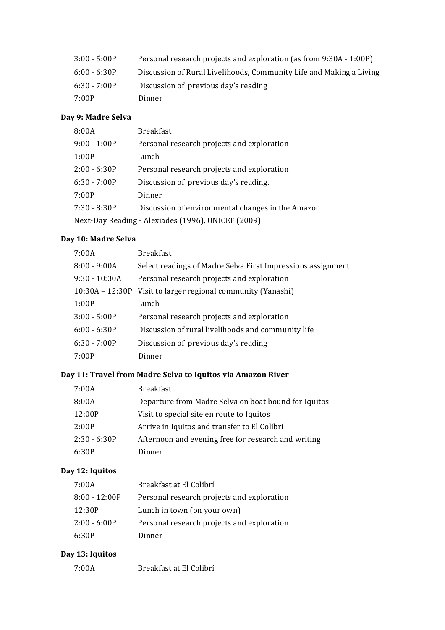| $3:00 - 5:00P$ | Personal research projects and exploration (as from 9:30A - 1:00P)  |
|----------------|---------------------------------------------------------------------|
| $6:00 - 6:30P$ | Discussion of Rural Livelihoods, Community Life and Making a Living |
| $6:30 - 7:00P$ | Discussion of previous day's reading                                |
| 7:00P          | Dinner                                                              |

# **Day 9: Madre Selva**

| 8:00A                                              | <b>Breakfast</b>                                  |  |
|----------------------------------------------------|---------------------------------------------------|--|
| $9:00 - 1:00P$                                     | Personal research projects and exploration        |  |
| 1:00P                                              | Lunch                                             |  |
| $2:00 - 6:30P$                                     | Personal research projects and exploration        |  |
| $6:30 - 7:00P$                                     | Discussion of previous day's reading.             |  |
| 7:00P                                              | Dinner                                            |  |
| $7:30 - 8:30P$                                     | Discussion of environmental changes in the Amazon |  |
| Next-Day Reading - Alexiades (1996), UNICEF (2009) |                                                   |  |

# **Day 10: Madre Selva**

| 7:00A             | <b>Breakfast</b>                                            |
|-------------------|-------------------------------------------------------------|
| $8:00 - 9:00A$    | Select readings of Madre Selva First Impressions assignment |
| $9:30 - 10:30A$   | Personal research projects and exploration                  |
| $10:30A - 12:30P$ | Visit to larger regional community (Yanashi)                |
| 1:00P             | Lunch                                                       |
| $3:00 - 5:00P$    | Personal research projects and exploration                  |
| $6:00 - 6:30P$    | Discussion of rural livelihoods and community life          |
| $6:30 - 7:00P$    | Discussion of previous day's reading                        |
| 7:00P             | Dinner                                                      |
|                   |                                                             |

# Day 11: Travel from Madre Selva to Iquitos via Amazon River

| 7:00A          | <b>Breakfast</b>                                     |
|----------------|------------------------------------------------------|
| 8:00A          | Departure from Madre Selva on boat bound for Iquitos |
| 12:00P         | Visit to special site en route to Iquitos            |
| 2:00P          | Arrive in Iquitos and transfer to El Colibrí         |
| $2:30 - 6:30P$ | Afternoon and evening free for research and writing  |
| 6:30P          | Dinner                                               |

# **Day 12: Iquitos**

| 7:00A           | Breakfast at El Colibrí                    |
|-----------------|--------------------------------------------|
| $8:00 - 12:00P$ | Personal research projects and exploration |
| 12:30P          | Lunch in town (on your own)                |
| $2:00 - 6:00P$  | Personal research projects and exploration |
| 6:30P           | Dinner                                     |

# **Day 13: Iquitos**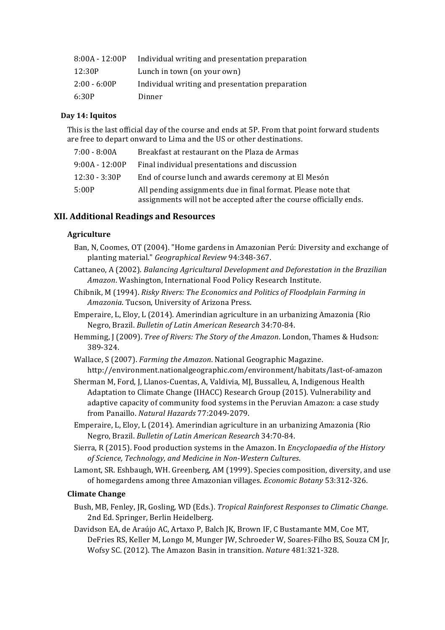| $8:00A - 12:00P$ | Individual writing and presentation preparation |
|------------------|-------------------------------------------------|
| 12:30P           | Lunch in town (on your own)                     |
| $2:00 - 6:00P$   | Individual writing and presentation preparation |
| 6:30P            | Dinner                                          |

### **Day 14: Iquitos**

This is the last official day of the course and ends at 5P. From that point forward students are free to depart onward to Lima and the US or other destinations.

| $7:00 - 8:00A$   | Breakfast at restaurant on the Plaza de Armas                                                                                       |
|------------------|-------------------------------------------------------------------------------------------------------------------------------------|
| $9:00A - 12:00P$ | Final individual presentations and discussion                                                                                       |
| $12:30 - 3:30P$  | End of course lunch and awards ceremony at El Mesón                                                                                 |
| 5:00P            | All pending assignments due in final format. Please note that<br>assignments will not be accepted after the course officially ends. |

## **XII. Additional Readings and Resources**

## **Agriculture**

- Ban, N, Coomes, OT (2004). "Home gardens in Amazonian Perú: Diversity and exchange of planting material." *Geographical Review* 94:348-367.
- Cattaneo, A (2002). *Balancing Agricultural Development and Deforestation in the Brazilian* Amazon. Washington, International Food Policy Research Institute.
- Chibnik, M (1994). *Risky Rivers: The Economics and Politics of Floodplain Farming in* Amazonia. Tucson, University of Arizona Press.
- Emperaire, L, Eloy, L (2014). Amerindian agriculture in an urbanizing Amazonia (Rio Negro, Brazil. *Bulletin of Latin American Research* 34:70-84.
- Hemming, J (2009). *Tree of Rivers: The Story of the Amazon*. London, Thames & Hudson: 389-324.
- Wallace, S (2007). *Farming the Amazon*. National Geographic Magazine. http://environment.nationalgeographic.com/environment/habitats/last-of-amazon
- Sherman M, Ford, J, Llanos-Cuentas, A, Valdivia, MJ, Bussalleu, A, Indigenous Health Adaptation to Climate Change (IHACC) Research Group (2015). Vulnerability and adaptive capacity of community food systems in the Peruvian Amazon: a case study from Panaillo. *Natural Hazards* 77:2049-2079.
- Emperaire, L, Eloy, L (2014). Amerindian agriculture in an urbanizing Amazonia (Rio Negro, Brazil. *Bulletin of Latin American Research* 34:70-84.
- Sierra, R (2015). Food production systems in the Amazon. In *Encyclopaedia of the History of Science, Technology, and Medicine in Non-Western Cultures*.
- Lamont, SR. Eshbaugh, WH. Greenberg, AM (1999). Species composition, diversity, and use of homegardens among three Amazonian villages. *Economic Botany* 53:312-326.

## **Climate Change**

- Bush, MB, Fenley, JR, Gosling, WD (Eds.). *Tropical Rainforest Responses to Climatic Change*. 2nd Ed. Springer, Berlin Heidelberg.
- Davidson EA, de Araújo AC, Artaxo P, Balch JK, Brown IF, C Bustamante MM, Coe MT, DeFries RS, Keller M, Longo M, Munger JW, Schroeder W, Soares-Filho BS, Souza CM Jr, Wofsy SC. (2012). The Amazon Basin in transition. *Nature* 481:321-328.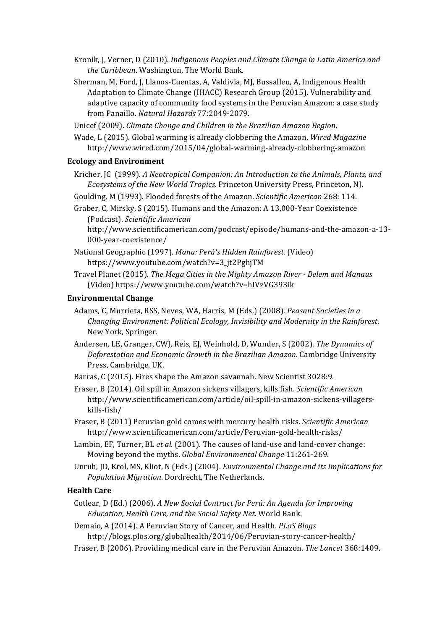- Kronik, J, Verner, D (2010). *Indigenous Peoples and Climate Change in Latin America and* the Caribbean. Washington, The World Bank.
- Sherman, M, Ford, J, Llanos-Cuentas, A, Valdivia, MJ, Bussalleu, A, Indigenous Health Adaptation to Climate Change (IHACC) Research Group (2015). Vulnerability and adaptive capacity of community food systems in the Peruvian Amazon: a case study from Panaillo. *Natural Hazards* 77:2049-2079.
- Unicef (2009). *Climate Change and Children in the Brazilian Amazon Region*.

Wade, L (2015). Global warming is already clobbering the Amazon. *Wired Magazine* http://www.wired.com/2015/04/global-warming-already-clobbering-amazon

#### **Ecology and Environment**

Kricher, JC (1999). *A Neotropical Companion: An Introduction to the Animals, Plants, and Ecosystems of the New World Tropics*. Princeton University Press, Princeton, NJ.

Goulding, M (1993). Flooded forests of the Amazon. *Scientific American* 268: 114.

Graber, C, Mirsky, S (2015). Humans and the Amazon: A 13,000-Year Coexistence (Podcast). *Scientific American*

http://www.scientificamerican.com/podcast/episode/humans-and-the-amazon-a-13- 000-year-coexistence/

- National Geographic (1997). *Manu: Perú's Hidden Rainforest.* (Video) https://www.youtube.com/watch?v=3\_jt2PghjTM
- Travel Planet (2015). *The Mega Cities in the Mighty Amazon River Belem and Manaus* (Video) https://www.youtube.com/watch?v=hIVzVG393ik

#### **Environmental Change**

- Adams, C, Murrieta, RSS, Neves, WA, Harris, M (Eds.) (2008). *Peasant Societies in a Changing Environment: Political Ecology, Invisibility and Modernity in the Rainforest.* New York, Springer.
- Andersen, LE, Granger, CWJ, Reis, EJ, Weinhold, D, Wunder, S (2002). The Dynamics of *Deforestation and Economic Growth in the Brazilian Amazon*. Cambridge University Press, Cambridge, UK.
- Barras, C (2015). Fires shape the Amazon savannah. New Scientist 3028:9.
- Fraser, B (2014). Oil spill in Amazon sickens villagers, kills fish. *Scientific American* http://www.scientificamerican.com/article/oil-spill-in-amazon-sickens-villagerskills-fish/
- Fraser, B (2011) Peruvian gold comes with mercury health risks. *Scientific American* http://www.scientificamerican.com/article/Peruvian-gold-health-risks/
- Lambin, EF, Turner, BL et al. (2001). The causes of land-use and land-cover change: Moving beyond the myths. *Global Environmental Change* 11:261-269.
- Unruh, JD, Krol, MS, Kliot, N (Eds.) (2004). *Environmental Change and its Implications for* Population Migration. Dordrecht, The Netherlands.

### **Health Care**

Cotlear, D (Ed.) (2006). A New Social Contract for Perú: An Agenda for Improving *Education, Health Care, and the Social Safety Net*. World Bank.

Demaio, A (2014). A Peruvian Story of Cancer, and Health. *PLoS Blogs* http://blogs.plos.org/globalhealth/2014/06/Peruvian-story-cancer-health/

Fraser, B (2006). Providing medical care in the Peruvian Amazon. *The Lancet* 368:1409.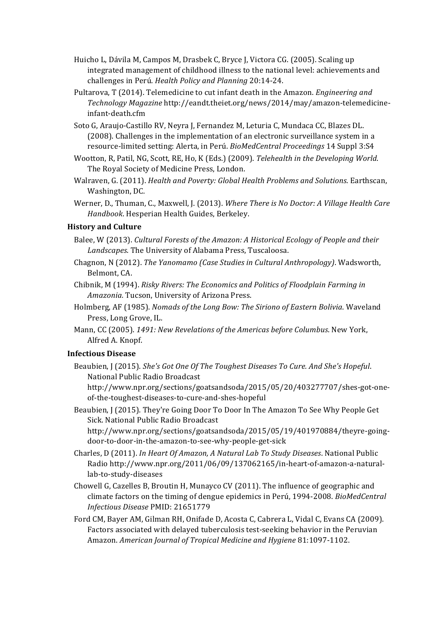- Huicho L, Dávila M, Campos M, Drasbek C, Bryce J, Victora CG. (2005). Scaling up integrated management of childhood illness to the national level: achievements and challenges in Perú. *Health Policy and Planning* 20:14-24.
- Pultarova, T (2014). Telemedicine to cut infant death in the Amazon. *Engineering and Technology Magazine* http://eandt.theiet.org/news/2014/may/amazon-telemedicineinfant-death.cfm
- Soto G, Araujo-Castillo RV, Neyra J, Fernandez M, Leturia C, Mundaca CC, Blazes DL. (2008). Challenges in the implementation of an electronic surveillance system in a resource-limited setting: Alerta, in Perú. *BioMedCentral Proceedings* 14 Suppl 3:S4
- Wootton, R, Patil, NG, Scott, RE, Ho, K (Eds.) (2009). Telehealth in the Developing World. The Royal Society of Medicine Press, London.
- Walraven, G. (2011). *Health and Poverty: Global Health Problems and Solutions*. Earthscan, Washington, DC.
- Werner, D., Thuman, C., Maxwell, J. (2013). Where There is No Doctor: A Village Health Care *Handbook*. Hesperian Health Guides, Berkeley.

## **History and Culture**

- Balee, W (2013). *Cultural Forests of the Amazon: A Historical Ecology of People and their* Landscapes. The University of Alabama Press, Tuscaloosa.
- Chagnon, N (2012). The Yanomamo (Case Studies in Cultural Anthropology). Wadsworth, Belmont, CA.
- Chibnik, M (1994). *Risky Rivers: The Economics and Politics of Floodplain Farming in Amazonia.* Tucson, University of Arizona Press.
- Holmberg, AF (1985). *Nomads of the Long Bow: The Siriono of Eastern Bolivia*. Waveland Press, Long Grove, IL.
- Mann, CC (2005). 1491: New Revelations of the Americas before Columbus. New York, Alfred A. Knopf.

## **Infectious Disease**

Beaubien, J (2015). *She's Got One Of The Toughest Diseases To Cure. And She's Hopeful.* National Public Radio Broadcast

http://www.npr.org/sections/goatsandsoda/2015/05/20/403277707/shes-got-oneof-the-toughest-diseases-to-cure-and-shes-hopeful

Beaubien, J (2015). They're Going Door To Door In The Amazon To See Why People Get Sick. National Public Radio Broadcast

http://www.npr.org/sections/goatsandsoda/2015/05/19/401970884/theyre-goingdoor-to-door-in-the-amazon-to-see-why-people-get-sick

- Charles, D (2011). *In Heart Of Amazon, A Natural Lab To Study Diseases*. National Public Radio http://www.npr.org/2011/06/09/137062165/in-heart-of-amazon-a-naturallab-to-study-diseases
- Chowell G, Cazelles B, Broutin H, Munayco CV (2011). The influence of geographic and climate factors on the timing of dengue epidemics in Perú, 1994-2008. *BioMedCentral Infectious Disease* PMID: 21651779
- Ford CM, Bayer AM, Gilman RH, Onifade D, Acosta C, Cabrera L, Vidal C, Evans CA (2009). Factors associated with delayed tuberculosis test-seeking behavior in the Peruvian Amazon. *American Journal of Tropical Medicine and Hygiene* 81:1097-1102.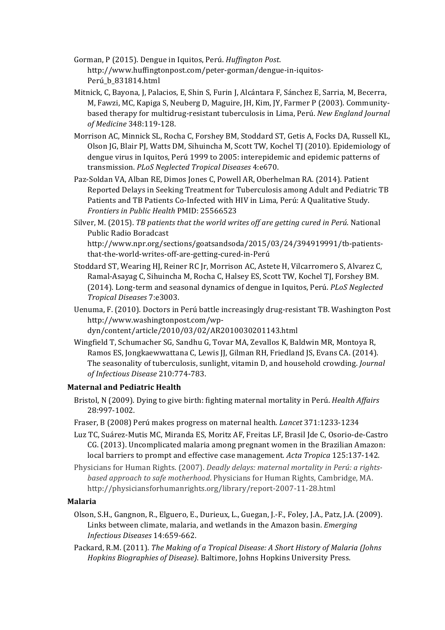Gorman, P (2015). Dengue in Iquitos, Perú. *Huffington Post*. http://www.huffingtonpost.com/peter-gorman/dengue-in-iquitos-Perú\_b\_831814.html

- Mitnick, C, Bayona, J, Palacios, E, Shin S, Furin J, Alcántara F, Sánchez E, Sarria, M, Becerra, M, Fawzi, MC, Kapiga S, Neuberg D, Maguire,  $[H, Kim, IY, Farmer P (2003)$ . Communitybased therapy for multidrug-resistant tuberculosis in Lima, Perú. *New England Journal of Medicine* 348:119-128.
- Morrison AC, Minnick SL, Rocha C, Forshey BM, Stoddard ST, Getis A, Focks DA, Russell KL, Olson JG, Blair PJ, Watts DM, Sihuincha M, Scott TW, Kochel TJ (2010). Epidemiology of dengue virus in Iquitos, Perú 1999 to 2005: interepidemic and epidemic patterns of transmission. *PLoS Neglected Tropical Diseases* 4:e670.
- Paz-Soldan VA, Alban RE, Dimos Jones C, Powell AR, Oberhelman RA. (2014). Patient Reported Delays in Seeking Treatment for Tuberculosis among Adult and Pediatric TB Patients and TB Patients Co-Infected with HIV in Lima, Perú: A Qualitative Study. *Frontiers in Public Health PMID: 25566523*
- Silver, M. (2015). *TB patients that the world writes off are getting cured in Perú*. National Public Radio Boradcast http://www.npr.org/sections/goatsandsoda/2015/03/24/394919991/tb-patientsthat-the-world-writes-off-are-getting-cured-in-Perú
- Stoddard ST, Wearing HJ, Reiner RC Jr, Morrison AC, Astete H, Vilcarromero S, Alvarez C, Ramal-Asayag C, Sihuincha M, Rocha C, Halsey ES, Scott TW, Kochel TJ, Forshey BM. (2014). Long-term and seasonal dynamics of dengue in Iquitos, Perú. *PLoS Neglected Tropical Diseases* 7:e3003.
- Uenuma, F. (2010). Doctors in Perú battle increasingly drug-resistant TB. Washington Post http://www.washingtonpost.com/wpdyn/content/article/2010/03/02/AR2010030201143.html
- Wingfield T, Schumacher SG, Sandhu G, Tovar MA, Zevallos K, Baldwin MR, Montoya R, Ramos ES, Jongkaewwattana C, Lewis JJ, Gilman RH, Friedland JS, Evans CA. (2014). The seasonality of tuberculosis, sunlight, vitamin D, and household crowding. *Journal of Infectious Disease* 210:774-783.

## **Maternal and Pediatric Health**

- Bristol, N (2009). Dying to give birth: fighting maternal mortality in Perú. *Health Affairs* 28:997-1002.
- Fraser, B (2008) Perú makes progress on maternal health. *Lancet* 371:1233-1234
- Luz TC, Suárez-Mutis MC, Miranda ES, Moritz AF, Freitas LF, Brasil Ide C, Osorio-de-Castro CG. (2013). Uncomplicated malaria among pregnant women in the Brazilian Amazon: local barriers to prompt and effective case management. *Acta Tropica* 125:137-142.
- Physicians for Human Rights. (2007). *Deadly delays: maternal mortality in Perú: a rightsbased approach to safe motherhood*. Physicians for Human Rights, Cambridge, MA. http://physiciansforhumanrights.org/library/report-2007-11-28.html

## **Malaria**

- Olson, S.H., Gangnon, R., Elguero, E., Durieux, L., Guegan, J.-F., Foley, J.A., Patz, J.A. (2009). Links between climate, malaria, and wetlands in the Amazon basin. *Emerging Infectious Diseases* 14:659-662.
- Packard, R.M. (2011). *The Making of a Tropical Disease: A Short History of Malaria (Johns Hopkins Biographies of Disease*). Baltimore, Johns Hopkins University Press.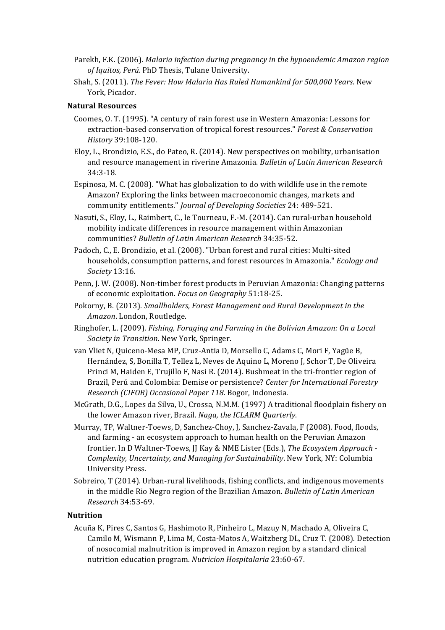- Parekh, F.K. (2006). *Malaria infection during pregnancy in the hypoendemic Amazon region* of Iquitos, Perú. PhD Thesis, Tulane University.
- Shah, S. (2011). *The Fever: How Malaria Has Ruled Humankind for 500,000 Years*. New York, Picador.

### **Natural Resources**

- Coomes, O. T. (1995). "A century of rain forest use in Western Amazonia: Lessons for extraction-based conservation of tropical forest resources." *Forest & Conservation History* 39:108-120.
- Eloy, L., Brondizio, E.S., do Pateo, R. (2014). New perspectives on mobility, urbanisation and resource management in riverine Amazonia. *Bulletin of Latin American Research* 34:3-18.
- Espinosa, M. C.  $(2008)$ . "What has globalization to do with wildlife use in the remote Amazon? Exploring the links between macroeconomic changes, markets and community entitlements." *Journal of Developing Societies* 24: 489-521.
- Nasuti, S., Eloy, L., Raimbert, C., le Tourneau, F.-M. (2014). Can rural-urban household mobility indicate differences in resource management within Amazonian communities? *Bulletin of Latin American Research* 34:35-52.
- Padoch, C., E. Brondizio, et al. (2008). "Urban forest and rural cities: Multi-sited households, consumption patterns, and forest resources in Amazonia." *Ecology and Society* 13:16.
- Penn, J. W. (2008). Non-timber forest products in Peruvian Amazonia: Changing patterns of economic exploitation. *Focus on Geography* 51:18-25.
- Pokorny, B. (2013). *Smallholders, Forest Management and Rural Development in the Amazon*, London, Routledge.
- Ringhofer, L. (2009). *Fishing, Foraging and Farming in the Bolivian Amazon: On a Local Society in Transition*. New York, Springer.
- van Vliet N, Quiceno-Mesa MP, Cruz-Antia D, Morsello C, Adams C, Mori F, Yagüe B, Hernández, S, Bonilla T, Tellez L, Neves de Aquino L, Moreno J, Schor T, De Oliveira Princi M, Haiden E, Trujillo F, Nasi R. (2014). Bushmeat in the tri-frontier region of Brazil, Perú and Colombia: Demise or persistence? *Center for International Forestry Research (CIFOR) Occasional Paper 118*. Bogor, Indonesia.
- McGrath, D.G., Lopes da Silva, U., Crossa, N.M.M. (1997) A traditional floodplain fishery on the lower Amazon river, Brazil. *Naga, the ICLARM Quarterly*.
- Murray, TP, Waltner-Toews, D, Sanchez-Choy, J, Sanchez-Zavala, F (2008). Food, floods, and farming - an ecosystem approach to human health on the Peruvian Amazon frontier. In D Waltner-Toews, JJ Kay & NME Lister (Eds.), The Ecosystem Approach -*Complexity, Uncertainty, and Managing for Sustainability*. New York, NY: Columbia University Press.
- Sobreiro, T (2014). Urban-rural livelihoods, fishing conflicts, and indigenous movements in the middle Rio Negro region of the Brazilian Amazon. *Bulletin of Latin American Research* 34:53-69.

#### **Nutrition**

Acuña K, Pires C, Santos G, Hashimoto R, Pinheiro L, Mazuy N, Machado A, Oliveira C, Camilo M, Wismann P, Lima M, Costa-Matos A, Waitzberg DL, Cruz T. (2008). Detection of nosocomial malnutrition is improved in Amazon region by a standard clinical nutrition education program. *Nutricion Hospitalaria* 23:60-67.